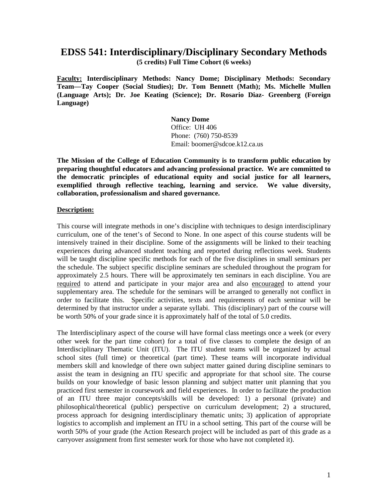## **EDSS 541: Interdisciplinary/Disciplinary Secondary Methods**

**(5 credits) Full Time Cohort (6 weeks)**

**Faculty: Interdisciplinary Methods: Nancy Dome; Disciplinary Methods: Secondary Team—Tay Cooper (Social Studies); Dr. Tom Bennett (Math); Ms. Michelle Mullen (Language Arts); Dr. Joe Keating (Science); Dr. Rosario Diaz- Greenberg (Foreign Language)**

> **Nancy Dome** Office: UH 406 Phone: (760) 750-8539 Email: boomer@sdcoe.k12.ca.us

**The Mission of the College of Education Community is to transform public education by preparing thoughtful educators and advancing professional practice. We are committed to the democratic principles of educational equity and social justice for all learners, exemplified through reflective teaching, learning and service. We value diversity, collaboration, professionalism and shared governance.**

#### **Description:**

This course will integrate methods in one's discipline with techniques to design interdisciplinary curriculum, one of the tenet's of Second to None. In one aspect of this course students will be intensively trained in their discipline. Some of the assignments will be linked to their teaching experiences during advanced student teaching and reported during reflections week. Students will be taught discipline specific methods for each of the five disciplines in small seminars per the schedule. The subject specific discipline seminars are scheduled throughout the program for approximately 2.5 hours. There will be approximately ten seminars in each discipline. You are required to attend and participate in your major area and also encouraged to attend your supplementary area. The schedule for the seminars will be arranged to generally not conflict in order to facilitate this. Specific activities, texts and requirements of each seminar will be determined by that instructor under a separate syllabi. This (disciplinary) part of the course will be worth 50% of your grade since it is approximately half of the total of 5.0 credits.

The Interdisciplinary aspect of the course will have formal class meetings once a week (or every other week for the part time cohort) for a total of five classes to complete the design of an Interdisciplinary Thematic Unit (ITU). The ITU student teams will be organized by actual school sites (full time) or theoretical (part time). These teams will incorporate individual members skill and knowledge of there own subject matter gained during discipline seminars to assist the team in designing an ITU specific and appropriate for that school site. The course builds on your knowledge of basic lesson planning and subject matter unit planning that you practiced first semester in coursework and field experiences. In order to facilitate the production of an ITU three major concepts/skills will be developed: 1) a personal (private) and philosophical/theoretical (public) perspective on curriculum development; 2) a structured, process approach for designing interdisciplinary thematic units; 3) application of appropriate logistics to accomplish and implement an ITU in a school setting. This part of the course will be worth 50% of your grade (the Action Research project will be included as part of this grade as a carryover assignment from first semester work for those who have not completed it).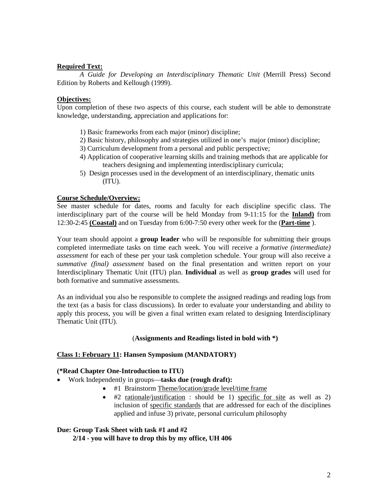#### **Required Text:**

*A Guide for Developing an Interdisciplinary Thematic Unit* (Merrill Press) Second Edition by Roberts and Kellough (1999).

#### **Objectives:**

Upon completion of these two aspects of this course, each student will be able to demonstrate knowledge, understanding, appreciation and applications for:

- 1) Basic frameworks from each major (minor) discipline;
- 2) Basic history, philosophy and strategies utilized in one's major (minor) discipline;
- 3) Curriculum development from a personal and public perspective;
- 4) Application of cooperative learning skills and training methods that are applicable for teachers designing and implementing interdisciplinary curricula;
- 5) Design processes used in the development of an interdisciplinary, thematic units (ITU).

#### **Course Schedule/Overview:**

See master schedule for dates, rooms and faculty for each discipline specific class. The interdisciplinary part of the course will be held Monday from 9-11:15 for the **Inland)** from 12:30-2:45 **(Coastal)** and on Tuesday from 6:00-7:50 every other week for the (**Part-time** ).

Your team should appoint a **group leader** who will be responsible for submitting their groups completed intermediate tasks on time each week. You will receive a *formative (intermediate) assessment* for each of these per your task completion schedule. Your group will also receive a *summative (final) assessment* based on the final presentation and written report on your Interdisciplinary Thematic Unit (ITU) plan. **Individual** as well as **group grades** will used for both formative and summative assessments.

As an individual you also be responsible to complete the assigned readings and reading logs from the text (as a basis for class discussions). In order to evaluate your understanding and ability to apply this process, you will be given a final written exam related to designing Interdisciplinary Thematic Unit (ITU).

#### (**Assignments and Readings listed in bold with \*)**

#### **Class 1: February 11: Hansen Symposium (MANDATORY)**

#### **(\*Read Chapter One-Introduction to ITU)**

- Work Independently in groups—**tasks due (rough draft):**
	- #1 Brainstorm Theme/location/grade level/time frame
	- #2 rationale/justification : should be 1) specific for site as well as 2) inclusion of specific standards that are addressed for each of the disciplines applied and infuse 3) private, personal curriculum philosophy

#### **Due: Group Task Sheet with task #1 and #2**

 **2/14 - you will have to drop this by my office, UH 406**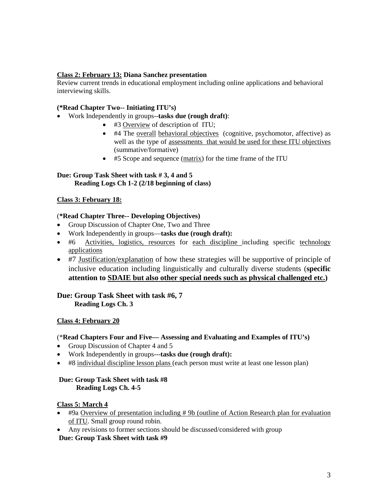## **Class 2: February 13: Diana Sanchez presentation**

Review current trends in educational employment including online applications and behavioral interviewing skills.

## **(\*Read Chapter Two-- Initiating ITU's)**

- Work Independently in groups--**tasks due (rough draft)**:
	- #3 Overview of description of ITU;
	- #4 The overall behavioral objectives (cognitive, psychomotor, affective) as well as the type of assessments that would be used for these ITU objectives (summative/formative)
	- #5 Scope and sequence (matrix) for the time frame of the ITU

#### **Due: Group Task Sheet with task # 3, 4 and 5 Reading Logs Ch 1-2 (2/18 beginning of class)**

## **Class 3: February 18:**

## (**\*Read Chapter Three-- Developing Objectives)**

- Group Discussion of Chapter One, Two and Three
- Work Independently in groups—**tasks due (rough draft):**
- #6 Activities, logistics, resources for each discipline including specific technology applications
- #7 Justification/explanation of how these strategies will be supportive of principle of inclusive education including linguistically and culturally diverse students (**specific attention to SDAIE but also other special needs such as physical challenged etc.)**

## **Due: Group Task Sheet with task #6, 7 Reading Logs Ch. 3**

#### **Class 4: February 20**

#### (\***Read Chapters Four and Five— Assessing and Evaluating and Examples of ITU's)**

- Group Discussion of Chapter 4 and 5
- Work Independently in groups---**tasks due (rough draft):**
- #8 individual discipline lesson plans (each person must write at least one lesson plan)

#### **Due: Group Task Sheet with task #8 Reading Logs Ch. 4-5**

#### **Class 5: March 4**

- #9a Overview of presentation including # 9b (outline of Action Research plan for evaluation of ITU. Small group round robin.
- Any revisions to former sections should be discussed/considered with group

#### **Due: Group Task Sheet with task #9**